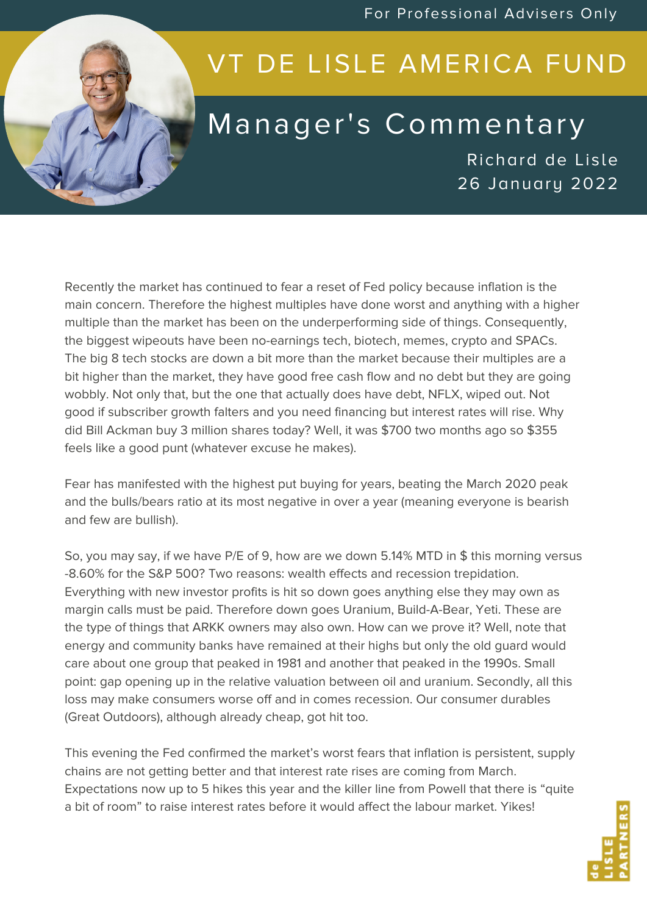For Professional Advisers Only



## VT DE LISLE AMERICA FUND

## Manager's Commentary

Richard de Lisle 26 January 2022

Recently the market has continued to fear a reset of Fed policy because inflation is the main concern. Therefore the highest multiples have done worst and anything with a higher multiple than the market has been on the underperforming side of things. Consequently, the biggest wipeouts have been no-earnings tech, biotech, memes, crypto and SPACs. The big 8 tech stocks are down a bit more than the market because their multiples are a bit higher than the market, they have good free cash flow and no debt but they are going wobbly. Not only that, but the one that actually does have debt, NFLX, wiped out. Not good if subscriber growth falters and you need financing but interest rates will rise. Why did Bill Ackman buy 3 million shares today? Well, it was \$700 two months ago so \$355 feels like a good punt (whatever excuse he makes).

Fear has manifested with the highest put buying for years, beating the March 2020 peak and the bulls/bears ratio at its most negative in over a year (meaning everyone is bearish and few are bullish).

So, you may say, if we have P/E of 9, how are we down 5.14% MTD in \$ this morning versus -8.60% for the S&P 500? Two reasons: wealth effects and recession trepidation. Everything with new investor profits is hit so down goes anything else they may own as margin calls must be paid. Therefore down goes Uranium, Build-A-Bear, Yeti. These are the type of things that ARKK owners may also own. How can we prove it? Well, note that energy and community banks have remained at their highs but only the old guard would care about one group that peaked in 1981 and another that peaked in the 1990s. Small point: gap opening up in the relative valuation between oil and uranium. Secondly, all this loss may make consumers worse off and in comes recession. Our consumer durables (Great Outdoors), although already cheap, got hit too.

This evening the Fed confirmed the market's worst fears that inflation is persistent, supply chains are not getting better and that interest rate rises are coming from March. Expectations now up to 5 hikes this year and the killer line from Powell that there is "quite a bit of room" to raise interest rates before it would affect the labour market. Yikes!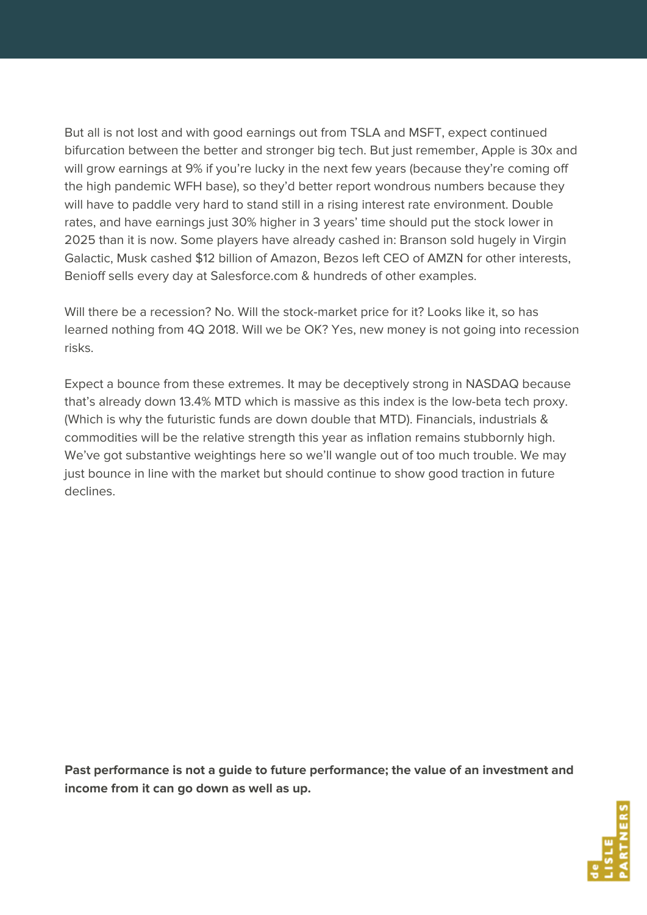But all is not lost and with good earnings out from TSLA and MSFT, expect continued bifurcation between the better and stronger big tech. But just remember, Apple is 30x and will grow earnings at 9% if you're lucky in the next few years (because they're coming off the high pandemic WFH base), so they'd better report wondrous numbers because they will have to paddle very hard to stand still in a rising interest rate environment. Double rates, and have earnings just 30% higher in 3 years' time should put the stock lower in 2025 than it is now. Some players have already cashed in: Branson sold hugely in Virgin Galactic, Musk cashed \$12 billion of Amazon, Bezos left CEO of AMZN for other interests, Benioff sells every day at Salesforce.com & hundreds of other examples.

Will there be a recession? No. Will the stock-market price for it? Looks like it, so has learned nothing from 4Q 2018. Will we be OK? Yes, new money is not going into recession risks.

Expect a bounce from these extremes. It may be deceptively strong in NASDAQ because that's already down 13.4% MTD which is massive as this index is the low-beta tech proxy. (Which is why the futuristic funds are down double that MTD). Financials, industrials & commodities will be the relative strength this year as inflation remains stubbornly high. We've got substantive weightings here so we'll wangle out of too much trouble. We may just bounce in line with the market but should continue to show good traction in future declines.

**Past performance is not a guide to future performance; the value of an investment and income from it can go down as well as up.**